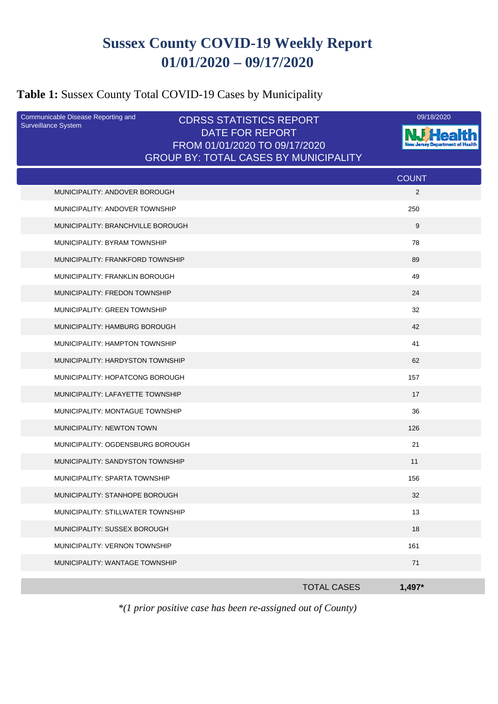# **Sussex County COVID-19 Weekly Report 01/01/2020 – 09/17/2020**

## **Table 1:** Sussex County Total COVID-19 Cases by Municipality

| Communicable Disease Reporting and<br><b>Surveillance System</b> | <b>CDRSS STATISTICS REPORT</b>                          |                              | 09/18/2020 |
|------------------------------------------------------------------|---------------------------------------------------------|------------------------------|------------|
|                                                                  | <b>DATE FOR REPORT</b><br>FROM 01/01/2020 TO 09/17/2020 |                              |            |
|                                                                  | <b>GROUP BY: TOTAL CASES BY MUNICIPALITY</b>            |                              |            |
|                                                                  |                                                         | <b>COUNT</b>                 |            |
| MUNICIPALITY: ANDOVER BOROUGH                                    |                                                         | $\overline{2}$               |            |
| MUNICIPALITY: ANDOVER TOWNSHIP                                   |                                                         | 250                          |            |
| MUNICIPALITY: BRANCHVILLE BOROUGH                                |                                                         | 9                            |            |
| MUNICIPALITY: BYRAM TOWNSHIP                                     |                                                         | 78                           |            |
| MUNICIPALITY: FRANKFORD TOWNSHIP                                 |                                                         | 89                           |            |
| <b>MUNICIPALITY: FRANKLIN BOROUGH</b>                            |                                                         | 49                           |            |
| MUNICIPALITY: FREDON TOWNSHIP                                    |                                                         | 24                           |            |
| MUNICIPALITY: GREEN TOWNSHIP                                     |                                                         | 32                           |            |
| MUNICIPALITY: HAMBURG BOROUGH                                    |                                                         | 42                           |            |
| MUNICIPALITY: HAMPTON TOWNSHIP                                   |                                                         | 41                           |            |
| MUNICIPALITY: HARDYSTON TOWNSHIP                                 |                                                         | 62                           |            |
| MUNICIPALITY: HOPATCONG BOROUGH                                  |                                                         | 157                          |            |
| MUNICIPALITY: LAFAYETTE TOWNSHIP                                 |                                                         | 17                           |            |
| MUNICIPALITY: MONTAGUE TOWNSHIP                                  |                                                         | 36                           |            |
| MUNICIPALITY: NEWTON TOWN                                        |                                                         | 126                          |            |
| MUNICIPALITY: OGDENSBURG BOROUGH                                 |                                                         | 21                           |            |
| MUNICIPALITY: SANDYSTON TOWNSHIP                                 |                                                         | 11                           |            |
| MUNICIPALITY: SPARTA TOWNSHIP                                    |                                                         | 156                          |            |
| MUNICIPALITY: STANHOPE BOROUGH                                   |                                                         | 32                           |            |
| MUNICIPALITY: STILLWATER TOWNSHIP                                |                                                         | 13                           |            |
| MUNICIPALITY: SUSSEX BOROUGH                                     |                                                         | 18                           |            |
| MUNICIPALITY: VERNON TOWNSHIP                                    |                                                         | 161                          |            |
| MUNICIPALITY: WANTAGE TOWNSHIP                                   |                                                         | 71                           |            |
|                                                                  |                                                         | <b>TOTAL CASES</b><br>1,497* |            |
|                                                                  |                                                         |                              |            |

*\*(1 prior positive case has been re-assigned out of County)*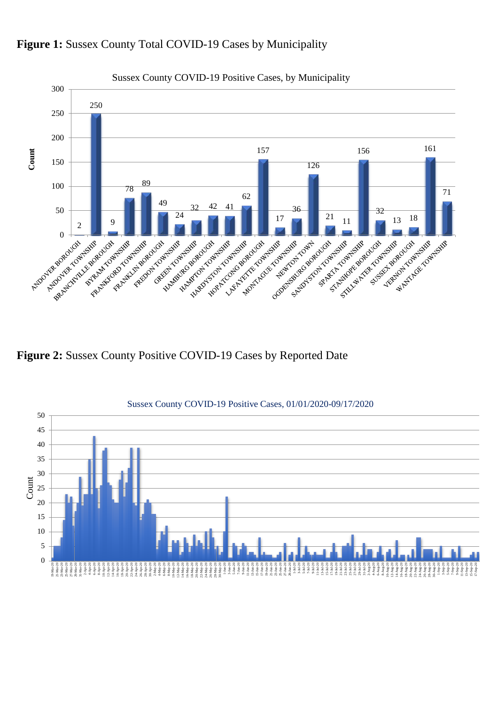

### Figure 1: Sussex County Total COVID-19 Cases by Municipality

**Figure 2:** Sussex County Positive COVID-19 Cases by Reported Date

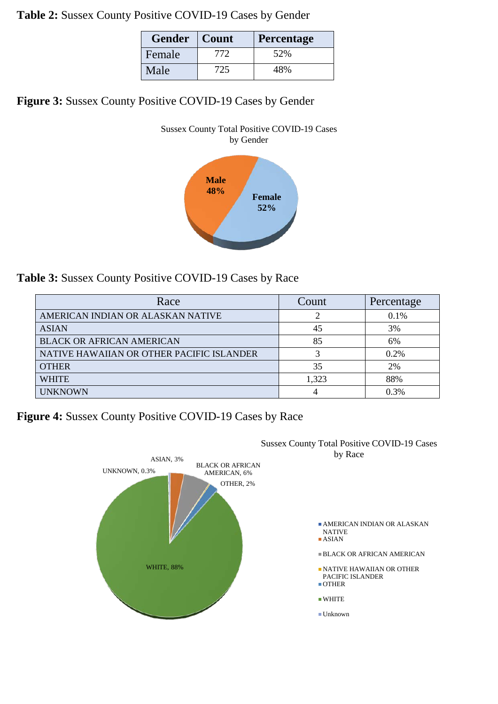**Table 2:** Sussex County Positive COVID-19 Cases by Gender

| <b>Gender</b> | Count | Percentage |
|---------------|-------|------------|
| Female        | 772   | 52%        |
| Male          | 725   | 48%        |

**Figure 3:** Sussex County Positive COVID-19 Cases by Gender



**Table 3:** Sussex County Positive COVID-19 Cases by Race

| Race                                      | Count | Percentage |
|-------------------------------------------|-------|------------|
| AMERICAN INDIAN OR ALASKAN NATIVE         |       | 0.1%       |
| <b>ASIAN</b>                              | 45    | 3%         |
| <b>BLACK OR AFRICAN AMERICAN</b>          | 85    | 6%         |
| NATIVE HAWAIIAN OR OTHER PACIFIC ISLANDER |       | $0.2\%$    |
| <b>OTHER</b>                              | 35    | 2%         |
| <b>WHITE</b>                              | 1,323 | 88%        |
| <b>UNKNOWN</b>                            | 4     | 0.3%       |

**Figure 4:** Sussex County Positive COVID-19 Cases by Race

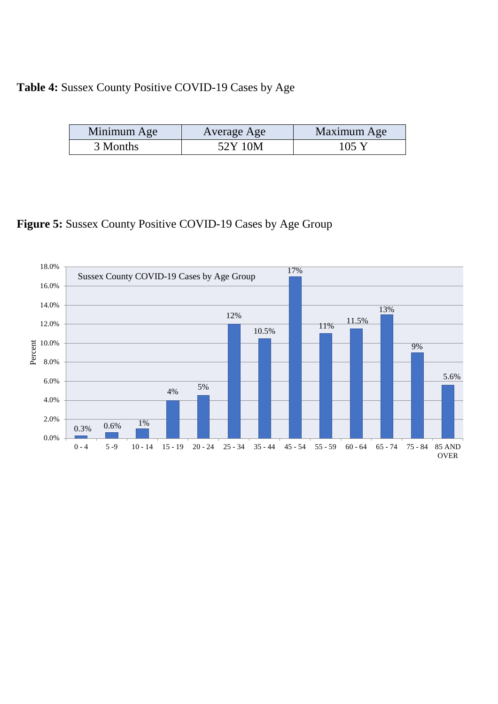### **Table 4:** Sussex County Positive COVID-19 Cases by Age

| Minimum Age | Average Age | Maximum Age |
|-------------|-------------|-------------|
| 3 Months    | 52Y 10M     | 105 Y       |

# **Figure 5:** Sussex County Positive COVID-19 Cases by Age Group

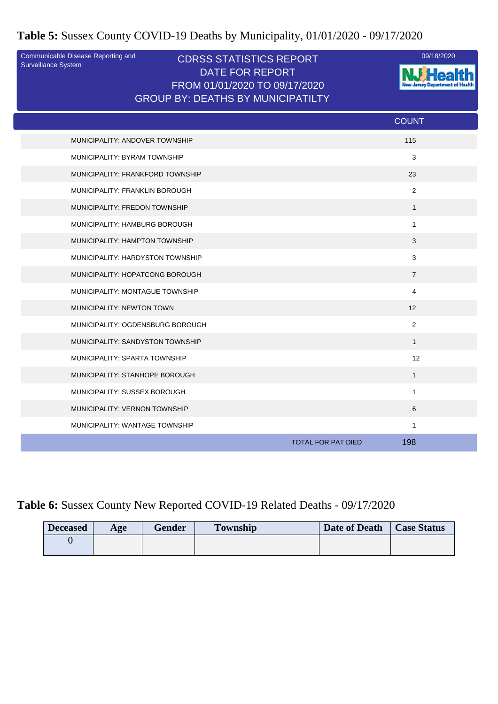**Table 5:** Sussex County COVID-19 Deaths by Municipality, 01/01/2020 - 09/17/2020

Surveillance System

#### CDRSS STATISTICS REPORT Communicable Disease Reporting and 09/18/2020 DATE FOR REPORT FROM 01/01/2020 TO 09/17/2020 GROUP BY: DEATHS BY MUNICIPATILTY



|                                  | <b>COUNT</b>                     |
|----------------------------------|----------------------------------|
| MUNICIPALITY: ANDOVER TOWNSHIP   | 115                              |
| MUNICIPALITY: BYRAM TOWNSHIP     | 3                                |
| MUNICIPALITY: FRANKFORD TOWNSHIP | 23                               |
| MUNICIPALITY: FRANKLIN BOROUGH   | 2                                |
| MUNICIPALITY: FREDON TOWNSHIP    | $\mathbf{1}$                     |
| MUNICIPALITY: HAMBURG BOROUGH    | $\mathbf{1}$                     |
| MUNICIPALITY: HAMPTON TOWNSHIP   | 3                                |
| MUNICIPALITY: HARDYSTON TOWNSHIP | 3                                |
| MUNICIPALITY: HOPATCONG BOROUGH  | $\overline{7}$                   |
| MUNICIPALITY: MONTAGUE TOWNSHIP  | 4                                |
| MUNICIPALITY: NEWTON TOWN        | 12 <sup>2</sup>                  |
| MUNICIPALITY: OGDENSBURG BOROUGH | $\overline{2}$                   |
| MUNICIPALITY: SANDYSTON TOWNSHIP | $\mathbf{1}$                     |
| MUNICIPALITY: SPARTA TOWNSHIP    | 12                               |
| MUNICIPALITY: STANHOPE BOROUGH   | $\mathbf{1}$                     |
| MUNICIPALITY: SUSSEX BOROUGH     | $\mathbf{1}$                     |
| MUNICIPALITY: VERNON TOWNSHIP    | 6                                |
| MUNICIPALITY: WANTAGE TOWNSHIP   | $\mathbf{1}$                     |
|                                  | <b>TOTAL FOR PAT DIED</b><br>198 |

### **Table 6:** Sussex County New Reported COVID-19 Related Deaths - 09/17/2020

| <b>Deceased</b> | Age | <b>Gender</b> | <b>Township</b> | Date of Death | <b>Case Status</b> |
|-----------------|-----|---------------|-----------------|---------------|--------------------|
|                 |     |               |                 |               |                    |
|                 |     |               |                 |               |                    |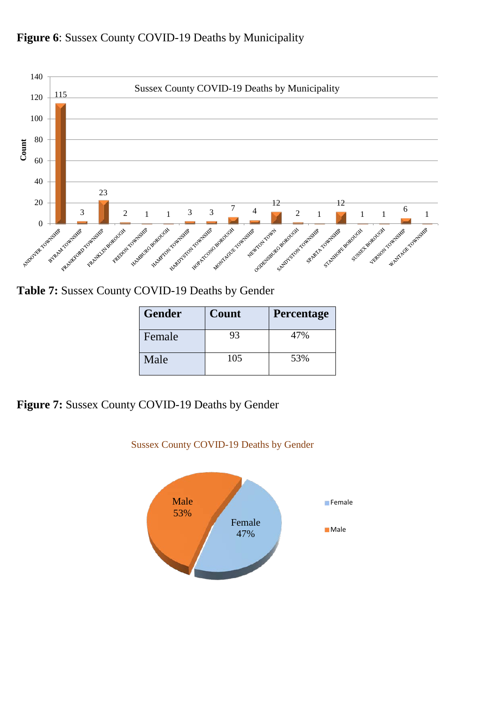



**Table 7:** Sussex County COVID-19 Deaths by Gender

| <b>Gender</b> | Count | <b>Percentage</b> |
|---------------|-------|-------------------|
| Female        | 93    | 47%               |
| Male          | 105   | 53%               |

**Figure 7:** Sussex County COVID-19 Deaths by Gender



Sussex County COVID-19 Deaths by Gender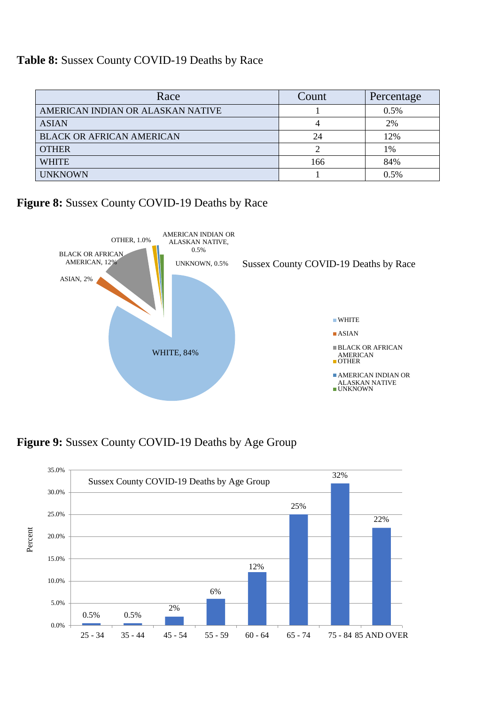#### **Table 8:** Sussex County COVID-19 Deaths by Race

| Race                              | Count | Percentage |
|-----------------------------------|-------|------------|
| AMERICAN INDIAN OR ALASKAN NATIVE |       | 0.5%       |
| <b>ASIAN</b>                      |       | 2%         |
| <b>BLACK OR AFRICAN AMERICAN</b>  | 24    | 12%        |
| <b>OTHER</b>                      |       | 1%         |
| <b>WHITE</b>                      | 166   | 84%        |
| <b>UNKNOWN</b>                    |       | 0.5%       |

**Figure 8:** Sussex County COVID-19 Deaths by Race



**Figure 9:** Sussex County COVID-19 Deaths by Age Group